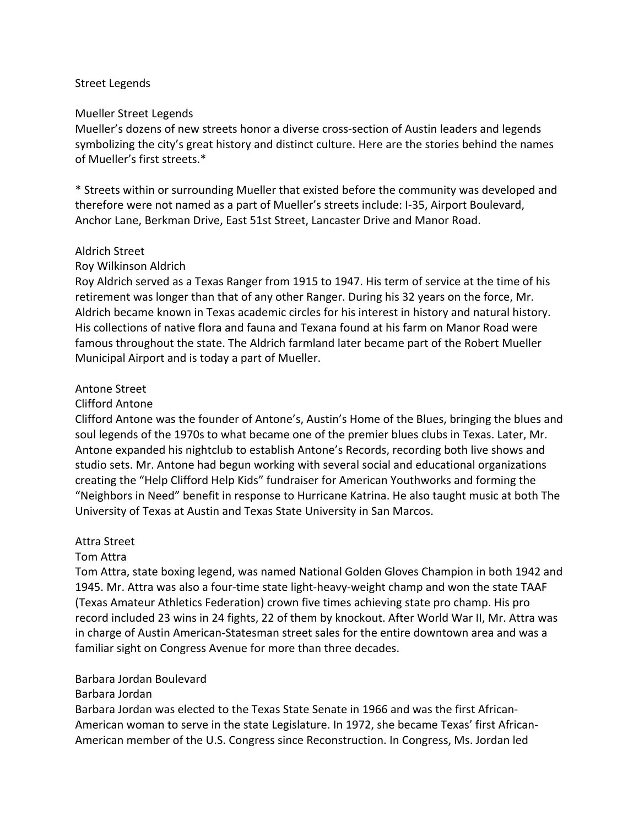### Street Legends

#### Mueller Street Legends

Mueller's dozens of new streets honor a diverse cross-section of Austin leaders and legends symbolizing the city's great history and distinct culture. Here are the stories behind the names of Mueller's first streets.\*

\* Streets within or surrounding Mueller that existed before the community was developed and therefore were not named as a part of Mueller's streets include: I-35, Airport Boulevard, Anchor Lane, Berkman Drive, East 51st Street, Lancaster Drive and Manor Road.

#### Aldrich Street

#### Roy Wilkinson Aldrich

Roy Aldrich served as a Texas Ranger from 1915 to 1947. His term of service at the time of his retirement was longer than that of any other Ranger. During his 32 years on the force, Mr. Aldrich became known in Texas academic circles for his interest in history and natural history. His collections of native flora and fauna and Texana found at his farm on Manor Road were famous throughout the state. The Aldrich farmland later became part of the Robert Mueller Municipal Airport and is today a part of Mueller.

#### Antone Street

#### Clifford Antone

Clifford Antone was the founder of Antone's, Austin's Home of the Blues, bringing the blues and soul legends of the 1970s to what became one of the premier blues clubs in Texas. Later, Mr. Antone expanded his nightclub to establish Antone's Records, recording both live shows and studio sets. Mr. Antone had begun working with several social and educational organizations creating the "Help Clifford Help Kids" fundraiser for American Youthworks and forming the "Neighbors in Need" benefit in response to Hurricane Katrina. He also taught music at both The University of Texas at Austin and Texas State University in San Marcos.

#### Attra Street

### Tom Attra

Tom Attra, state boxing legend, was named National Golden Gloves Champion in both 1942 and 1945. Mr. Attra was also a four-time state light-heavy-weight champ and won the state TAAF (Texas Amateur Athletics Federation) crown five times achieving state pro champ. His pro record included 23 wins in 24 fights, 22 of them by knockout. After World War II, Mr. Attra was in charge of Austin American-Statesman street sales for the entire downtown area and was a familiar sight on Congress Avenue for more than three decades.

#### Barbara Jordan Boulevard

### Barbara Jordan

Barbara Jordan was elected to the Texas State Senate in 1966 and was the first African-American woman to serve in the state Legislature. In 1972, she became Texas' first African-American member of the U.S. Congress since Reconstruction. In Congress, Ms. Jordan led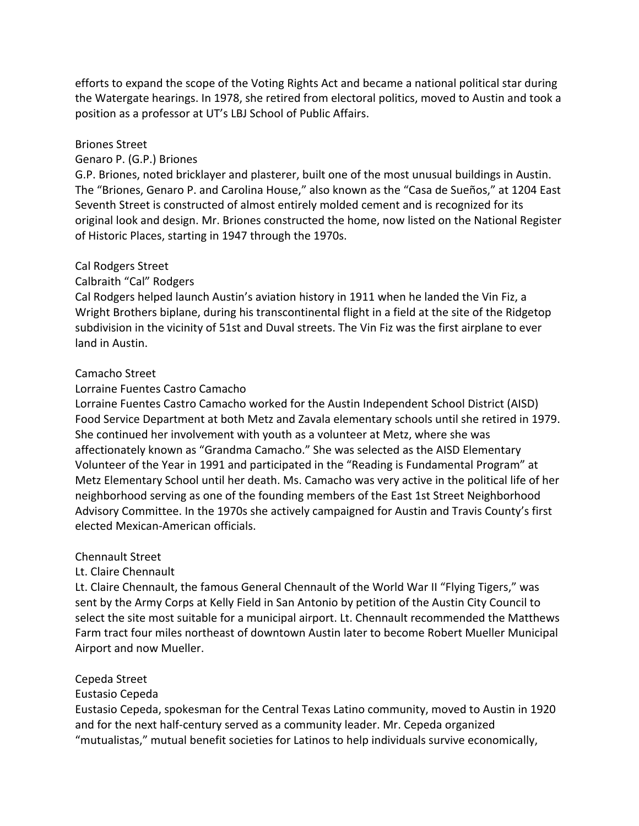efforts to expand the scope of the Voting Rights Act and became a national political star during the Watergate hearings. In 1978, she retired from electoral politics, moved to Austin and took a position as a professor at UT's LBJ School of Public Affairs.

### Briones Street

### Genaro P. (G.P.) Briones

G.P. Briones, noted bricklayer and plasterer, built one of the most unusual buildings in Austin. The "Briones, Genaro P. and Carolina House," also known as the "Casa de Sueños," at 1204 East Seventh Street is constructed of almost entirely molded cement and is recognized for its original look and design. Mr. Briones constructed the home, now listed on the National Register of Historic Places, starting in 1947 through the 1970s.

### Cal Rodgers Street

### Calbraith "Cal" Rodgers

Cal Rodgers helped launch Austin's aviation history in 1911 when he landed the Vin Fiz, a Wright Brothers biplane, during his transcontinental flight in a field at the site of the Ridgetop subdivision in the vicinity of 51st and Duval streets. The Vin Fiz was the first airplane to ever land in Austin.

#### Camacho Street

### Lorraine Fuentes Castro Camacho

Lorraine Fuentes Castro Camacho worked for the Austin Independent School District (AISD) Food Service Department at both Metz and Zavala elementary schools until she retired in 1979. She continued her involvement with youth as a volunteer at Metz, where she was affectionately known as "Grandma Camacho." She was selected as the AISD Elementary Volunteer of the Year in 1991 and participated in the "Reading is Fundamental Program" at Metz Elementary School until her death. Ms. Camacho was very active in the political life of her neighborhood serving as one of the founding members of the East 1st Street Neighborhood Advisory Committee. In the 1970s she actively campaigned for Austin and Travis County's first elected Mexican-American officials.

#### Chennault Street

### Lt. Claire Chennault

Lt. Claire Chennault, the famous General Chennault of the World War II "Flying Tigers," was sent by the Army Corps at Kelly Field in San Antonio by petition of the Austin City Council to select the site most suitable for a municipal airport. Lt. Chennault recommended the Matthews Farm tract four miles northeast of downtown Austin later to become Robert Mueller Municipal Airport and now Mueller.

### Cepeda Street

### Eustasio Cepeda

Eustasio Cepeda, spokesman for the Central Texas Latino community, moved to Austin in 1920 and for the next half-century served as a community leader. Mr. Cepeda organized "mutualistas," mutual benefit societies for Latinos to help individuals survive economically,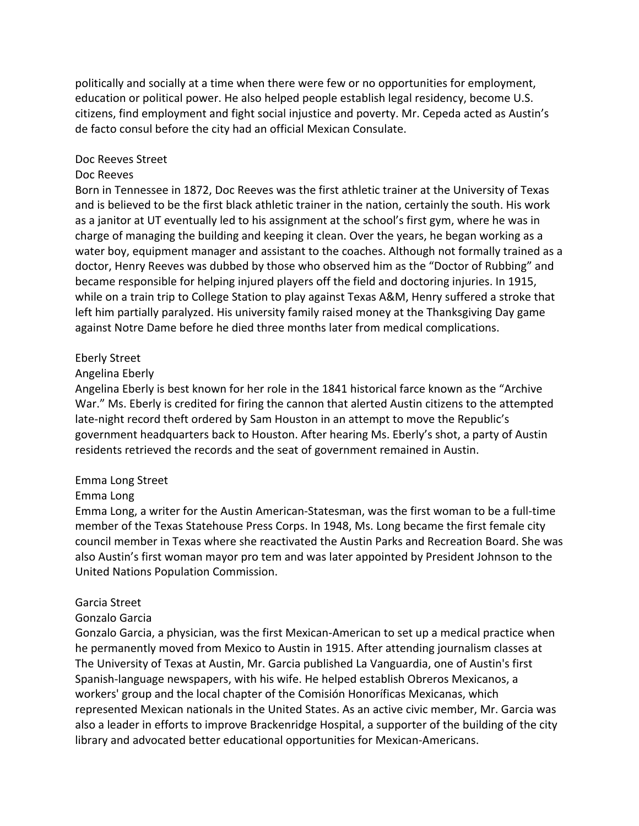politically and socially at a time when there were few or no opportunities for employment, education or political power. He also helped people establish legal residency, become U.S. citizens, find employment and fight social injustice and poverty. Mr. Cepeda acted as Austin's de facto consul before the city had an official Mexican Consulate.

#### Doc Reeves Street

#### Doc Reeves

Born in Tennessee in 1872, Doc Reeves was the first athletic trainer at the University of Texas and is believed to be the first black athletic trainer in the nation, certainly the south. His work as a janitor at UT eventually led to his assignment at the school's first gym, where he was in charge of managing the building and keeping it clean. Over the years, he began working as a water boy, equipment manager and assistant to the coaches. Although not formally trained as a doctor, Henry Reeves was dubbed by those who observed him as the "Doctor of Rubbing" and became responsible for helping injured players off the field and doctoring injuries. In 1915, while on a train trip to College Station to play against Texas A&M, Henry suffered a stroke that left him partially paralyzed. His university family raised money at the Thanksgiving Day game against Notre Dame before he died three months later from medical complications.

#### Eberly Street

#### Angelina Eberly

Angelina Eberly is best known for her role in the 1841 historical farce known as the "Archive War." Ms. Eberly is credited for firing the cannon that alerted Austin citizens to the attempted late-night record theft ordered by Sam Houston in an attempt to move the Republic's government headquarters back to Houston. After hearing Ms. Eberly's shot, a party of Austin residents retrieved the records and the seat of government remained in Austin.

#### Emma Long Street

### Emma Long

Emma Long, a writer for the Austin American-Statesman, was the first woman to be a full-time member of the Texas Statehouse Press Corps. In 1948, Ms. Long became the first female city council member in Texas where she reactivated the Austin Parks and Recreation Board. She was also Austin's first woman mayor pro tem and was later appointed by President Johnson to the United Nations Population Commission.

#### Garcia Street

#### Gonzalo Garcia

Gonzalo Garcia, a physician, was the first Mexican-American to set up a medical practice when he permanently moved from Mexico to Austin in 1915. After attending journalism classes at The University of Texas at Austin, Mr. Garcia published La Vanguardia, one of Austin's first Spanish-language newspapers, with his wife. He helped establish Obreros Mexicanos, a workers' group and the local chapter of the Comisión Honoríficas Mexicanas, which represented Mexican nationals in the United States. As an active civic member, Mr. Garcia was also a leader in efforts to improve Brackenridge Hospital, a supporter of the building of the city library and advocated better educational opportunities for Mexican-Americans.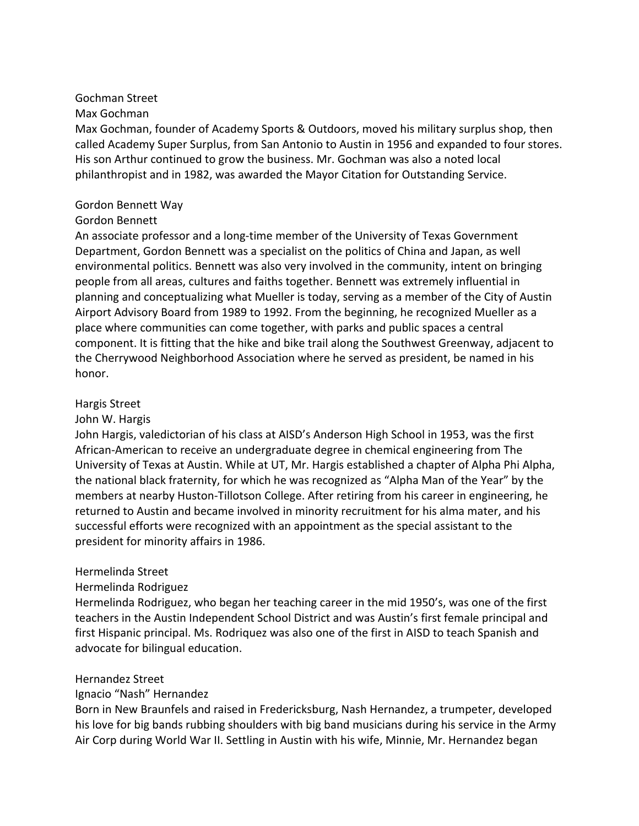# Gochman Street

### Max Gochman

Max Gochman, founder of Academy Sports & Outdoors, moved his military surplus shop, then called Academy Super Surplus, from San Antonio to Austin in 1956 and expanded to four stores. His son Arthur continued to grow the business. Mr. Gochman was also a noted local philanthropist and in 1982, was awarded the Mayor Citation for Outstanding Service.

## Gordon Bennett Way

# Gordon Bennett

An associate professor and a long-time member of the University of Texas Government Department, Gordon Bennett was a specialist on the politics of China and Japan, as well environmental politics. Bennett was also very involved in the community, intent on bringing people from all areas, cultures and faiths together. Bennett was extremely influential in planning and conceptualizing what Mueller is today, serving as a member of the City of Austin Airport Advisory Board from 1989 to 1992. From the beginning, he recognized Mueller as a place where communities can come together, with parks and public spaces a central component. It is fitting that the hike and bike trail along the Southwest Greenway, adjacent to the Cherrywood Neighborhood Association where he served as president, be named in his honor.

# Hargis Street

## John W. Hargis

John Hargis, valedictorian of his class at AISD's Anderson High School in 1953, was the first African-American to receive an undergraduate degree in chemical engineering from The University of Texas at Austin. While at UT, Mr. Hargis established a chapter of Alpha Phi Alpha, the national black fraternity, for which he was recognized as "Alpha Man of the Year" by the members at nearby Huston-Tillotson College. After retiring from his career in engineering, he returned to Austin and became involved in minority recruitment for his alma mater, and his successful efforts were recognized with an appointment as the special assistant to the president for minority affairs in 1986.

## Hermelinda Street

## Hermelinda Rodriguez

Hermelinda Rodriguez, who began her teaching career in the mid 1950's, was one of the first teachers in the Austin Independent School District and was Austin's first female principal and first Hispanic principal. Ms. Rodriquez was also one of the first in AISD to teach Spanish and advocate for bilingual education.

## Hernandez Street

## Ignacio "Nash" Hernandez

Born in New Braunfels and raised in Fredericksburg, Nash Hernandez, a trumpeter, developed his love for big bands rubbing shoulders with big band musicians during his service in the Army Air Corp during World War II. Settling in Austin with his wife, Minnie, Mr. Hernandez began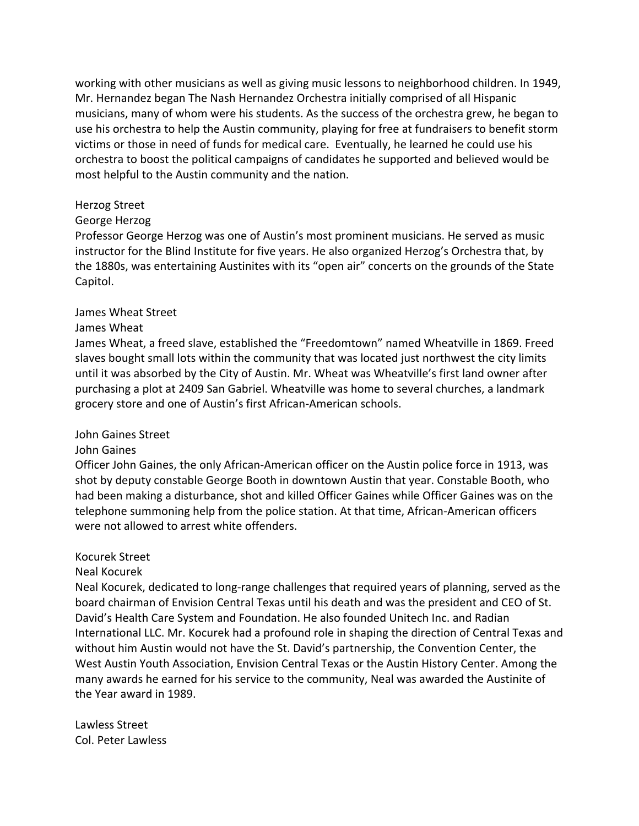working with other musicians as well as giving music lessons to neighborhood children. In 1949, Mr. Hernandez began The Nash Hernandez Orchestra initially comprised of all Hispanic musicians, many of whom were his students. As the success of the orchestra grew, he began to use his orchestra to help the Austin community, playing for free at fundraisers to benefit storm victims or those in need of funds for medical care. Eventually, he learned he could use his orchestra to boost the political campaigns of candidates he supported and believed would be most helpful to the Austin community and the nation.

### Herzog Street

#### George Herzog

Professor George Herzog was one of Austin's most prominent musicians. He served as music instructor for the Blind Institute for five years. He also organized Herzog's Orchestra that, by the 1880s, was entertaining Austinites with its "open air" concerts on the grounds of the State Capitol.

#### James Wheat Street

#### James Wheat

James Wheat, a freed slave, established the "Freedomtown" named Wheatville in 1869. Freed slaves bought small lots within the community that was located just northwest the city limits until it was absorbed by the City of Austin. Mr. Wheat was Wheatville's first land owner after purchasing a plot at 2409 San Gabriel. Wheatville was home to several churches, a landmark grocery store and one of Austin's first African-American schools.

#### John Gaines Street

#### John Gaines

Officer John Gaines, the only African-American officer on the Austin police force in 1913, was shot by deputy constable George Booth in downtown Austin that year. Constable Booth, who had been making a disturbance, shot and killed Officer Gaines while Officer Gaines was on the telephone summoning help from the police station. At that time, African-American officers were not allowed to arrest white offenders.

#### Kocurek Street

### Neal Kocurek

Neal Kocurek, dedicated to long-range challenges that required years of planning, served as the board chairman of Envision Central Texas until his death and was the president and CEO of St. David's Health Care System and Foundation. He also founded Unitech Inc. and Radian International LLC. Mr. Kocurek had a profound role in shaping the direction of Central Texas and without him Austin would not have the St. David's partnership, the Convention Center, the West Austin Youth Association, Envision Central Texas or the Austin History Center. Among the many awards he earned for his service to the community, Neal was awarded the Austinite of the Year award in 1989.

Lawless Street Col. Peter Lawless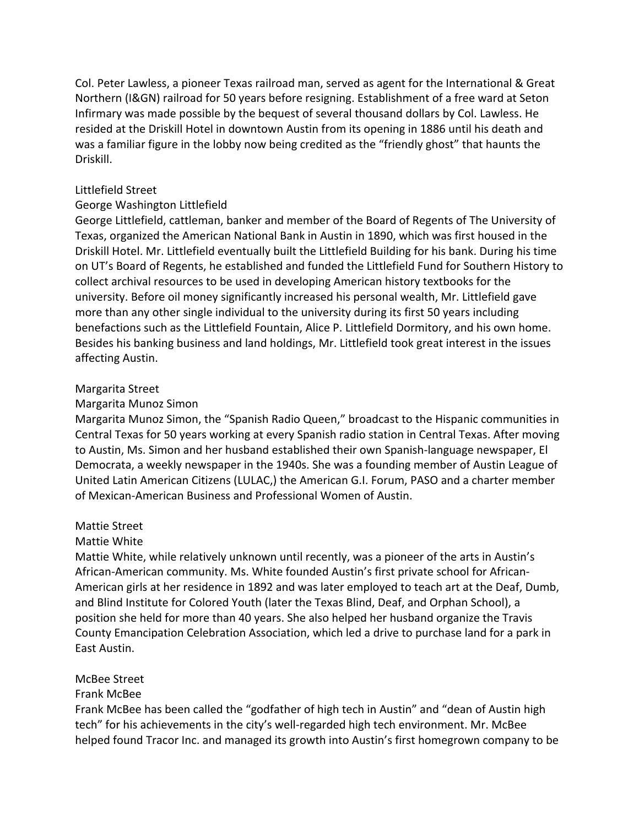Col. Peter Lawless, a pioneer Texas railroad man, served as agent for the International & Great Northern (I&GN) railroad for 50 years before resigning. Establishment of a free ward at Seton Infirmary was made possible by the bequest of several thousand dollars by Col. Lawless. He resided at the Driskill Hotel in downtown Austin from its opening in 1886 until his death and was a familiar figure in the lobby now being credited as the "friendly ghost" that haunts the Driskill.

#### Littlefield Street

#### George Washington Littlefield

George Littlefield, cattleman, banker and member of the Board of Regents of The University of Texas, organized the American National Bank in Austin in 1890, which was first housed in the Driskill Hotel. Mr. Littlefield eventually built the Littlefield Building for his bank. During his time on UT's Board of Regents, he established and funded the Littlefield Fund for Southern History to collect archival resources to be used in developing American history textbooks for the university. Before oil money significantly increased his personal wealth, Mr. Littlefield gave more than any other single individual to the university during its first 50 years including benefactions such as the Littlefield Fountain, Alice P. Littlefield Dormitory, and his own home. Besides his banking business and land holdings, Mr. Littlefield took great interest in the issues affecting Austin.

#### Margarita Street

#### Margarita Munoz Simon

Margarita Munoz Simon, the "Spanish Radio Queen," broadcast to the Hispanic communities in Central Texas for 50 years working at every Spanish radio station in Central Texas. After moving to Austin, Ms. Simon and her husband established their own Spanish-language newspaper, El Democrata, a weekly newspaper in the 1940s. She was a founding member of Austin League of United Latin American Citizens (LULAC,) the American G.I. Forum, PASO and a charter member of Mexican-American Business and Professional Women of Austin.

#### Mattie Street

#### Mattie White

Mattie White, while relatively unknown until recently, was a pioneer of the arts in Austin's African-American community. Ms. White founded Austin's first private school for African-American girls at her residence in 1892 and was later employed to teach art at the Deaf, Dumb, and Blind Institute for Colored Youth (later the Texas Blind, Deaf, and Orphan School), a position she held for more than 40 years. She also helped her husband organize the Travis County Emancipation Celebration Association, which led a drive to purchase land for a park in East Austin.

### McBee Street

### Frank McBee

Frank McBee has been called the "godfather of high tech in Austin" and "dean of Austin high tech" for his achievements in the city's well-regarded high tech environment. Mr. McBee helped found Tracor Inc. and managed its growth into Austin's first homegrown company to be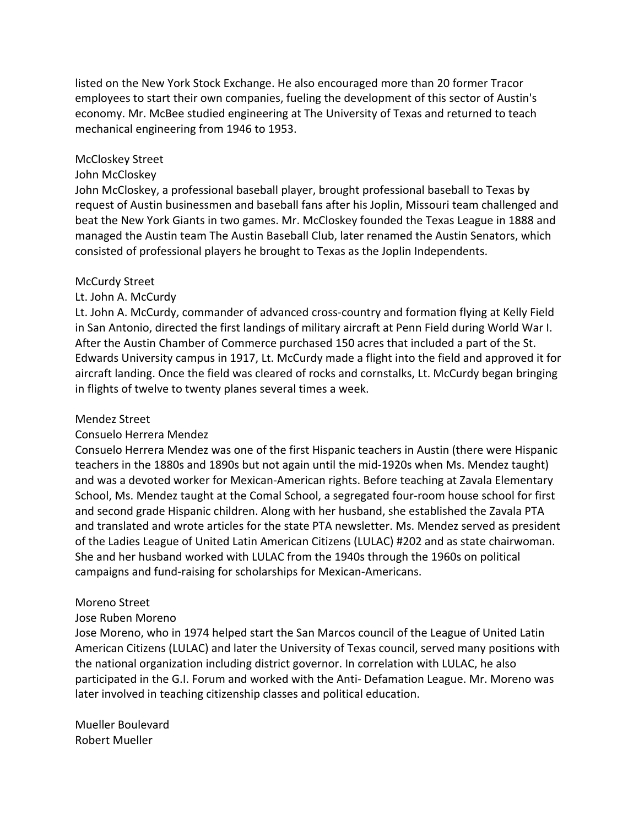listed on the New York Stock Exchange. He also encouraged more than 20 former Tracor employees to start their own companies, fueling the development of this sector of Austin's economy. Mr. McBee studied engineering at The University of Texas and returned to teach mechanical engineering from 1946 to 1953.

#### McCloskey Street

#### John McCloskey

John McCloskey, a professional baseball player, brought professional baseball to Texas by request of Austin businessmen and baseball fans after his Joplin, Missouri team challenged and beat the New York Giants in two games. Mr. McCloskey founded the Texas League in 1888 and managed the Austin team The Austin Baseball Club, later renamed the Austin Senators, which consisted of professional players he brought to Texas as the Joplin Independents.

#### McCurdy Street

### Lt. John A. McCurdy

Lt. John A. McCurdy, commander of advanced cross-country and formation flying at Kelly Field in San Antonio, directed the first landings of military aircraft at Penn Field during World War I. After the Austin Chamber of Commerce purchased 150 acres that included a part of the St. Edwards University campus in 1917, Lt. McCurdy made a flight into the field and approved it for aircraft landing. Once the field was cleared of rocks and cornstalks, Lt. McCurdy began bringing in flights of twelve to twenty planes several times a week.

#### Mendez Street

#### Consuelo Herrera Mendez

Consuelo Herrera Mendez was one of the first Hispanic teachers in Austin (there were Hispanic teachers in the 1880s and 1890s but not again until the mid-1920s when Ms. Mendez taught) and was a devoted worker for Mexican-American rights. Before teaching at Zavala Elementary School, Ms. Mendez taught at the Comal School, a segregated four-room house school for first and second grade Hispanic children. Along with her husband, she established the Zavala PTA and translated and wrote articles for the state PTA newsletter. Ms. Mendez served as president of the Ladies League of United Latin American Citizens (LULAC) #202 and as state chairwoman. She and her husband worked with LULAC from the 1940s through the 1960s on political campaigns and fund-raising for scholarships for Mexican-Americans.

#### Moreno Street

#### Jose Ruben Moreno

Jose Moreno, who in 1974 helped start the San Marcos council of the League of United Latin American Citizens (LULAC) and later the University of Texas council, served many positions with the national organization including district governor. In correlation with LULAC, he also participated in the G.I. Forum and worked with the Anti- Defamation League. Mr. Moreno was later involved in teaching citizenship classes and political education.

Mueller Boulevard Robert Mueller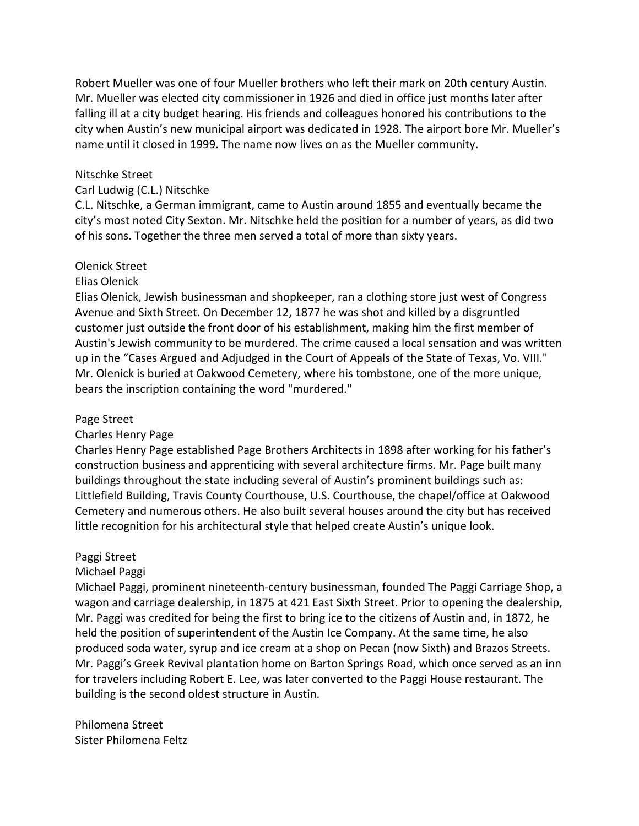Robert Mueller was one of four Mueller brothers who left their mark on 20th century Austin. Mr. Mueller was elected city commissioner in 1926 and died in office just months later after falling ill at a city budget hearing. His friends and colleagues honored his contributions to the city when Austin's new municipal airport was dedicated in 1928. The airport bore Mr. Mueller's name until it closed in 1999. The name now lives on as the Mueller community.

#### Nitschke Street

#### Carl Ludwig (C.L.) Nitschke

C.L. Nitschke, a German immigrant, came to Austin around 1855 and eventually became the city's most noted City Sexton. Mr. Nitschke held the position for a number of years, as did two of his sons. Together the three men served a total of more than sixty years.

#### Olenick Street

#### Elias Olenick

Elias Olenick, Jewish businessman and shopkeeper, ran a clothing store just west of Congress Avenue and Sixth Street. On December 12, 1877 he was shot and killed by a disgruntled customer just outside the front door of his establishment, making him the first member of Austin's Jewish community to be murdered. The crime caused a local sensation and was written up in the "Cases Argued and Adjudged in the Court of Appeals of the State of Texas, Vo. VIII." Mr. Olenick is buried at Oakwood Cemetery, where his tombstone, one of the more unique, bears the inscription containing the word "murdered."

#### Page Street

#### Charles Henry Page

Charles Henry Page established Page Brothers Architects in 1898 after working for his father's construction business and apprenticing with several architecture firms. Mr. Page built many buildings throughout the state including several of Austin's prominent buildings such as: Littlefield Building, Travis County Courthouse, U.S. Courthouse, the chapel/office at Oakwood Cemetery and numerous others. He also built several houses around the city but has received little recognition for his architectural style that helped create Austin's unique look.

#### Paggi Street

#### Michael Paggi

Michael Paggi, prominent nineteenth-century businessman, founded The Paggi Carriage Shop, a wagon and carriage dealership, in 1875 at 421 East Sixth Street. Prior to opening the dealership, Mr. Paggi was credited for being the first to bring ice to the citizens of Austin and, in 1872, he held the position of superintendent of the Austin Ice Company. At the same time, he also produced soda water, syrup and ice cream at a shop on Pecan (now Sixth) and Brazos Streets. Mr. Paggi's Greek Revival plantation home on Barton Springs Road, which once served as an inn for travelers including Robert E. Lee, was later converted to the Paggi House restaurant. The building is the second oldest structure in Austin.

Philomena Street Sister Philomena Feltz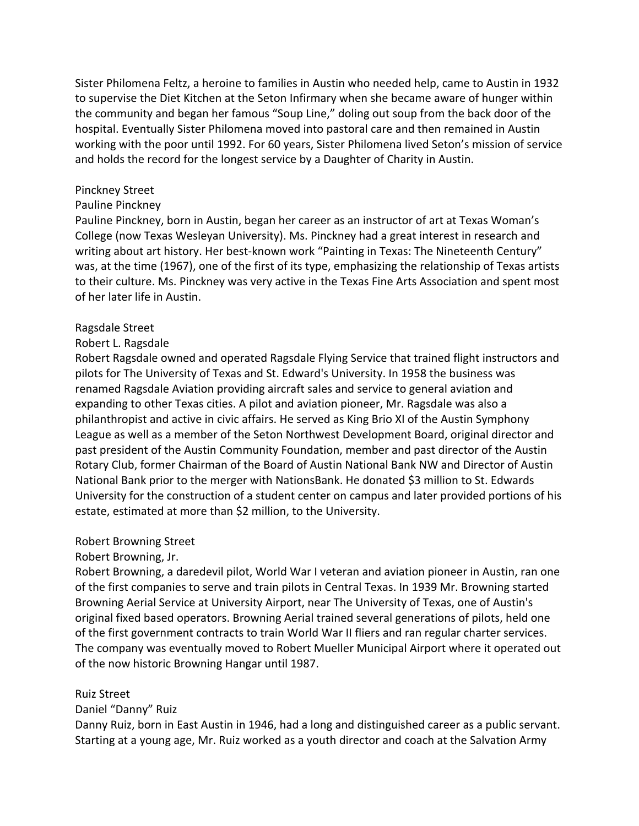Sister Philomena Feltz, a heroine to families in Austin who needed help, came to Austin in 1932 to supervise the Diet Kitchen at the Seton Infirmary when she became aware of hunger within the community and began her famous "Soup Line," doling out soup from the back door of the hospital. Eventually Sister Philomena moved into pastoral care and then remained in Austin working with the poor until 1992. For 60 years, Sister Philomena lived Seton's mission of service and holds the record for the longest service by a Daughter of Charity in Austin.

#### Pinckney Street

#### Pauline Pinckney

Pauline Pinckney, born in Austin, began her career as an instructor of art at Texas Woman's College (now Texas Wesleyan University). Ms. Pinckney had a great interest in research and writing about art history. Her best-known work "Painting in Texas: The Nineteenth Century" was, at the time (1967), one of the first of its type, emphasizing the relationship of Texas artists to their culture. Ms. Pinckney was very active in the Texas Fine Arts Association and spent most of her later life in Austin.

#### Ragsdale Street

#### Robert L. Ragsdale

Robert Ragsdale owned and operated Ragsdale Flying Service that trained flight instructors and pilots for The University of Texas and St. Edward's University. In 1958 the business was renamed Ragsdale Aviation providing aircraft sales and service to general aviation and expanding to other Texas cities. A pilot and aviation pioneer, Mr. Ragsdale was also a philanthropist and active in civic affairs. He served as King Brio XI of the Austin Symphony League as well as a member of the Seton Northwest Development Board, original director and past president of the Austin Community Foundation, member and past director of the Austin Rotary Club, former Chairman of the Board of Austin National Bank NW and Director of Austin National Bank prior to the merger with NationsBank. He donated \$3 million to St. Edwards University for the construction of a student center on campus and later provided portions of his estate, estimated at more than \$2 million, to the University.

#### Robert Browning Street

Robert Browning, Jr.

Robert Browning, a daredevil pilot, World War I veteran and aviation pioneer in Austin, ran one of the first companies to serve and train pilots in Central Texas. In 1939 Mr. Browning started Browning Aerial Service at University Airport, near The University of Texas, one of Austin's original fixed based operators. Browning Aerial trained several generations of pilots, held one of the first government contracts to train World War II fliers and ran regular charter services. The company was eventually moved to Robert Mueller Municipal Airport where it operated out of the now historic Browning Hangar until 1987.

### Ruiz Street

Daniel "Danny" Ruiz

Danny Ruiz, born in East Austin in 1946, had a long and distinguished career as a public servant. Starting at a young age, Mr. Ruiz worked as a youth director and coach at the Salvation Army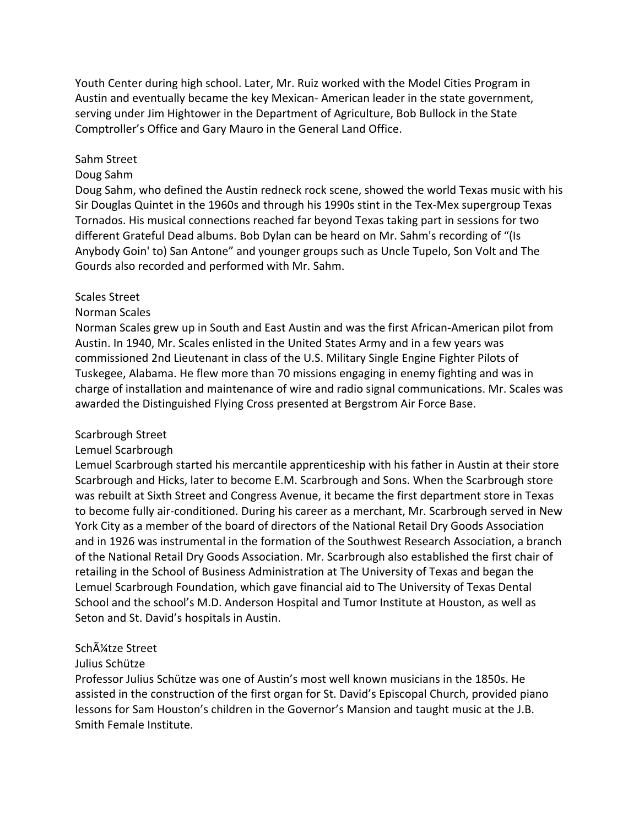Youth Center during high school. Later, Mr. Ruiz worked with the Model Cities Program in Austin and eventually became the key Mexican- American leader in the state government, serving under Jim Hightower in the Department of Agriculture, Bob Bullock in the State Comptroller's Office and Gary Mauro in the General Land Office.

#### Sahm Street

#### Doug Sahm

Doug Sahm, who defined the Austin redneck rock scene, showed the world Texas music with his Sir Douglas Quintet in the 1960s and through his 1990s stint in the Tex-Mex supergroup Texas Tornados. His musical connections reached far beyond Texas taking part in sessions for two different Grateful Dead albums. Bob Dylan can be heard on Mr. Sahm's recording of "(Is Anybody Goin' to) San Antone" and younger groups such as Uncle Tupelo, Son Volt and The Gourds also recorded and performed with Mr. Sahm.

#### Scales Street

#### Norman Scales

Norman Scales grew up in South and East Austin and was the first African-American pilot from Austin. In 1940, Mr. Scales enlisted in the United States Army and in a few years was commissioned 2nd Lieutenant in class of the U.S. Military Single Engine Fighter Pilots of Tuskegee, Alabama. He flew more than 70 missions engaging in enemy fighting and was in charge of installation and maintenance of wire and radio signal communications. Mr. Scales was awarded the Distinguished Flying Cross presented at Bergstrom Air Force Base.

#### Scarbrough Street

#### Lemuel Scarbrough

Lemuel Scarbrough started his mercantile apprenticeship with his father in Austin at their store Scarbrough and Hicks, later to become E.M. Scarbrough and Sons. When the Scarbrough store was rebuilt at Sixth Street and Congress Avenue, it became the first department store in Texas to become fully air-conditioned. During his career as a merchant, Mr. Scarbrough served in New York City as a member of the board of directors of the National Retail Dry Goods Association and in 1926 was instrumental in the formation of the Southwest Research Association, a branch of the National Retail Dry Goods Association. Mr. Scarbrough also established the first chair of retailing in the School of Business Administration at The University of Texas and began the Lemuel Scarbrough Foundation, which gave financial aid to The University of Texas Dental School and the school's M.D. Anderson Hospital and Tumor Institute at Houston, as well as Seton and St. David's hospitals in Austin.

### Schļtze Street

### Julius Schütze

Professor Julius Schütze was one of Austin's most well known musicians in the 1850s. He assisted in the construction of the first organ for St. David's Episcopal Church, provided piano lessons for Sam Houston's children in the Governor's Mansion and taught music at the J.B. Smith Female Institute.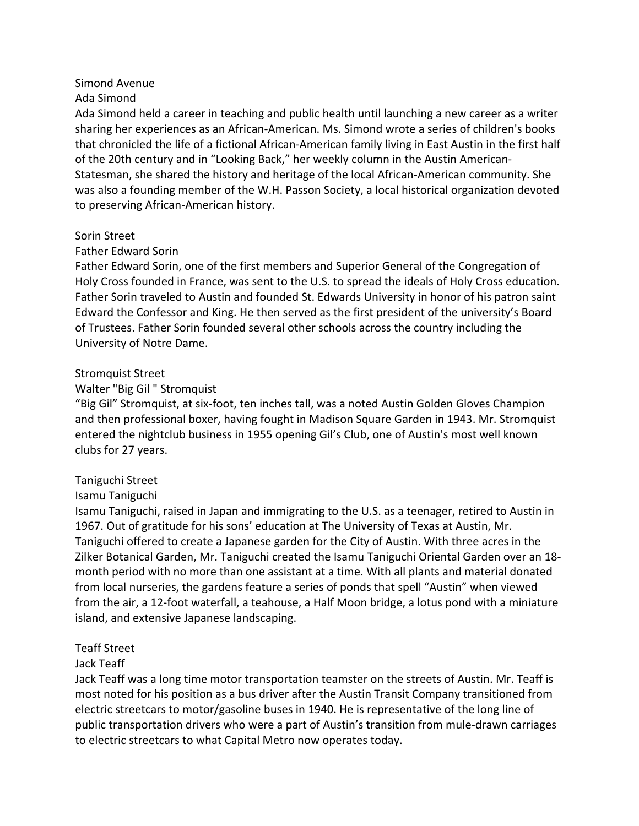## Simond Avenue

### Ada Simond

Ada Simond held a career in teaching and public health until launching a new career as a writer sharing her experiences as an African-American. Ms. Simond wrote a series of children's books that chronicled the life of a fictional African-American family living in East Austin in the first half of the 20th century and in "Looking Back," her weekly column in the Austin American-Statesman, she shared the history and heritage of the local African-American community. She was also a founding member of the W.H. Passon Society, a local historical organization devoted to preserving African-American history.

### Sorin Street

### Father Edward Sorin

Father Edward Sorin, one of the first members and Superior General of the Congregation of Holy Cross founded in France, was sent to the U.S. to spread the ideals of Holy Cross education. Father Sorin traveled to Austin and founded St. Edwards University in honor of his patron saint Edward the Confessor and King. He then served as the first president of the university's Board of Trustees. Father Sorin founded several other schools across the country including the University of Notre Dame.

### Stromquist Street

## Walter "Big Gil " Stromquist

"Big Gil" Stromquist, at six-foot, ten inches tall, was a noted Austin Golden Gloves Champion and then professional boxer, having fought in Madison Square Garden in 1943. Mr. Stromquist entered the nightclub business in 1955 opening Gil's Club, one of Austin's most well known clubs for 27 years.

## Taniguchi Street

## Isamu Taniguchi

Isamu Taniguchi, raised in Japan and immigrating to the U.S. as a teenager, retired to Austin in 1967. Out of gratitude for his sons' education at The University of Texas at Austin, Mr. Taniguchi offered to create a Japanese garden for the City of Austin. With three acres in the Zilker Botanical Garden, Mr. Taniguchi created the Isamu Taniguchi Oriental Garden over an 18 month period with no more than one assistant at a time. With all plants and material donated from local nurseries, the gardens feature a series of ponds that spell "Austin" when viewed from the air, a 12-foot waterfall, a teahouse, a Half Moon bridge, a lotus pond with a miniature island, and extensive Japanese landscaping.

## Teaff Street

## Jack Teaff

Jack Teaff was a long time motor transportation teamster on the streets of Austin. Mr. Teaff is most noted for his position as a bus driver after the Austin Transit Company transitioned from electric streetcars to motor/gasoline buses in 1940. He is representative of the long line of public transportation drivers who were a part of Austin's transition from mule-drawn carriages to electric streetcars to what Capital Metro now operates today.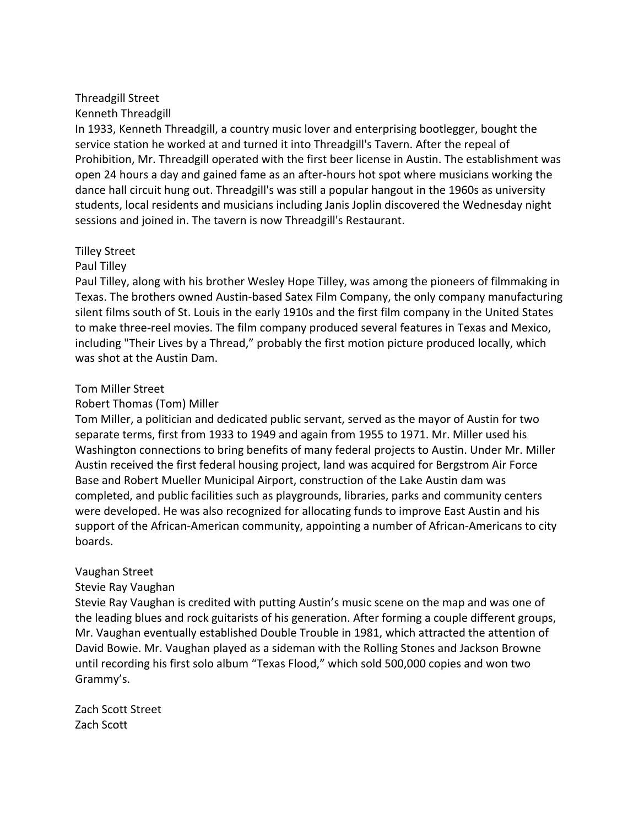#### Threadgill Street Kenneth Threadgill

In 1933, Kenneth Threadgill, a country music lover and enterprising bootlegger, bought the service station he worked at and turned it into Threadgill's Tavern. After the repeal of Prohibition, Mr. Threadgill operated with the first beer license in Austin. The establishment was open 24 hours a day and gained fame as an after-hours hot spot where musicians working the dance hall circuit hung out. Threadgill's was still a popular hangout in the 1960s as university students, local residents and musicians including Janis Joplin discovered the Wednesday night sessions and joined in. The tavern is now Threadgill's Restaurant.

## Tilley Street

# Paul Tilley

Paul Tilley, along with his brother Wesley Hope Tilley, was among the pioneers of filmmaking in Texas. The brothers owned Austin-based Satex Film Company, the only company manufacturing silent films south of St. Louis in the early 1910s and the first film company in the United States to make three-reel movies. The film company produced several features in Texas and Mexico, including "Their Lives by a Thread," probably the first motion picture produced locally, which was shot at the Austin Dam.

# Tom Miller Street

# Robert Thomas (Tom) Miller

Tom Miller, a politician and dedicated public servant, served as the mayor of Austin for two separate terms, first from 1933 to 1949 and again from 1955 to 1971. Mr. Miller used his Washington connections to bring benefits of many federal projects to Austin. Under Mr. Miller Austin received the first federal housing project, land was acquired for Bergstrom Air Force Base and Robert Mueller Municipal Airport, construction of the Lake Austin dam was completed, and public facilities such as playgrounds, libraries, parks and community centers were developed. He was also recognized for allocating funds to improve East Austin and his support of the African-American community, appointing a number of African-Americans to city boards.

## Vaughan Street

# Stevie Ray Vaughan

Stevie Ray Vaughan is credited with putting Austin's music scene on the map and was one of the leading blues and rock guitarists of his generation. After forming a couple different groups, Mr. Vaughan eventually established Double Trouble in 1981, which attracted the attention of David Bowie. Mr. Vaughan played as a sideman with the Rolling Stones and Jackson Browne until recording his first solo album "Texas Flood," which sold 500,000 copies and won two Grammy's.

Zach Scott Street Zach Scott